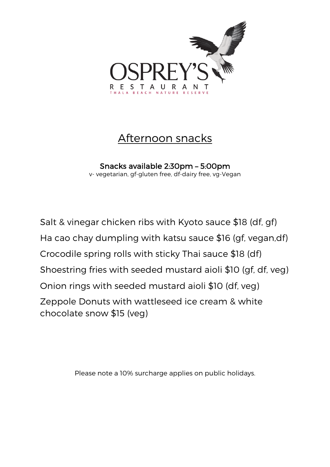

# Afternoon snacks

Snacks available 2:30pm – 5:00pm v- vegetarian, gf-gluten free, df-dairy free, vg-Vegan

Salt & vinegar chicken ribs with Kyoto sauce \$18 (df, gf) Ha cao chay dumpling with katsu sauce \$16 (gf, vegan,df) Crocodile spring rolls with sticky Thai sauce \$18 (df) Shoestring fries with seeded mustard aioli \$10 (gf, df, veg) Onion rings with seeded mustard aioli \$10 (df, veg) Zeppole Donuts with wattleseed ice cream & white chocolate snow \$15 (veg)

Please note a 10% surcharge applies on public holidays.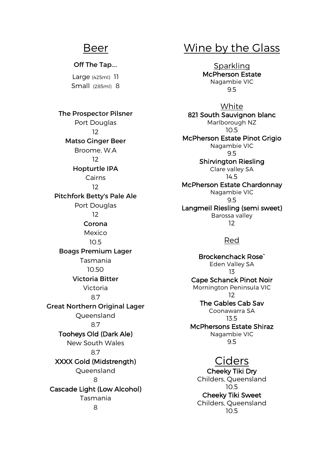### Beer

#### Off The Tap….

Large (425ml) 11 Small (285ml) 8

The Prospector Pilsner Port Douglas 12 Matso Ginger Beer Broome, W.A 12 Hopturtle IPA Cairns 12 Pitchfork Betty's Pale Ale Port Douglas 12 Corona Mexico 10.5 Boags Premium Lager Tasmania 10.50 Victoria Bitter Victoria 8.7 Great Northern Original Lager Queensland 8.7 Tooheys Old (Dark Ale) New South Wales 8.7 XXXX Gold (Midstrength) Queensland 8 Cascade Light (Low Alcohol) Tasmania 8

# Wine by the Glass

**Sparkling** McPherson Estate Nagambie VIC 9.5

White 821 South Sauvignon blanc Marlborough NZ 10.5 McPherson Estate Pinot Grigio Nagambie VIC 9.5 Shirvington Riesling Clare valley SA 14.5 McPherson Estate Chardonnay Nagambie VIC 9.5 Langmeil Riesling (semi sweet) Barossa valley 12

#### Red

Brockenchack Rose` Eden Valley SA 13 Cape Schanck Pinot Noir Mornington Peninsula VIC 12 The Gables Cab Sav Coonawarra SA 13.5 McPhersons Estate Shiraz Nagambie VIC 9.5

### Ciders

Cheeky Tiki Dry Childers, Queensland 10.5 Cheeky Tiki Sweet Childers, Queensland 10.5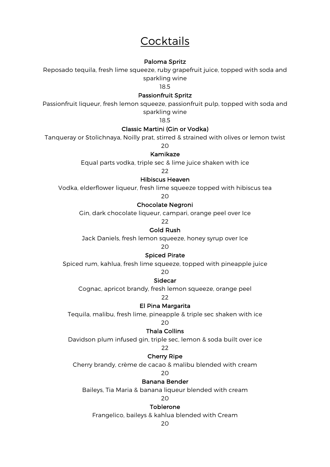# **Cocktails**

#### Paloma Spritz

Reposado tequila, fresh lime squeeze, ruby grapefruit juice, topped with soda and sparkling wine

18.5

#### Passionfruit Spritz

Passionfruit liqueur, fresh lemon squeeze, passionfruit pulp, topped with soda and sparkling wine

18.5

#### Classic Martini (Gin or Vodka)

Tanqueray or Stolichnaya, Noilly prat, stirred & strained with olives or lemon twist

20

#### Kamikaze

Equal parts vodka, triple sec & lime juice shaken with ice

22

#### Hibiscus Heaven

Vodka, elderflower liqueur, fresh lime squeeze topped with hibiscus tea

20

#### Chocolate Negroni

Gin, dark chocolate liqueur, campari, orange peel over Ice

22

### Gold Rush

Jack Daniels, fresh lemon squeeze, honey syrup over Ice

 $20$ 

#### Spiced Pirate

Spiced rum, kahlua, fresh lime squeeze, topped with pineapple juice

20

#### Sidecar

Cognac, apricot brandy, fresh lemon squeeze, orange peel

22

#### El Pina Margarita

Tequila, malibu, fresh lime, pineapple & triple sec shaken with ice

20

#### Thala Collins

Davidson plum infused gin, triple sec, lemon & soda built over ice

#### 22

#### Cherry Ripe

Cherry brandy, crème de cacao & malibu blended with cream

20

#### Banana Bender

Baileys, Tia Maria & banana liqueur blended with cream

#### $20$

#### Toblerone

Frangelico, baileys & kahlua blended with Cream